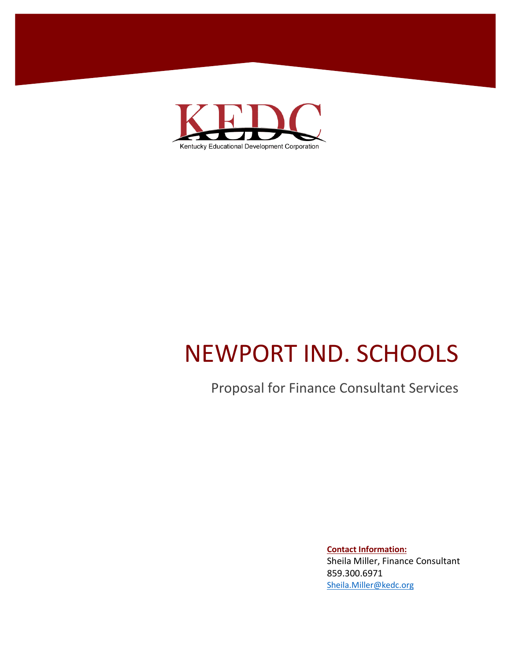

# NEWPORT IND. SCHOOLS

## Proposal for Finance Consultant Services

**Contact Information:** Sheila Miller, Finance Consultant 859.300.6971 [Sheila.Miller@kedc.org](mailto:Sheila.Miller@kedc.org)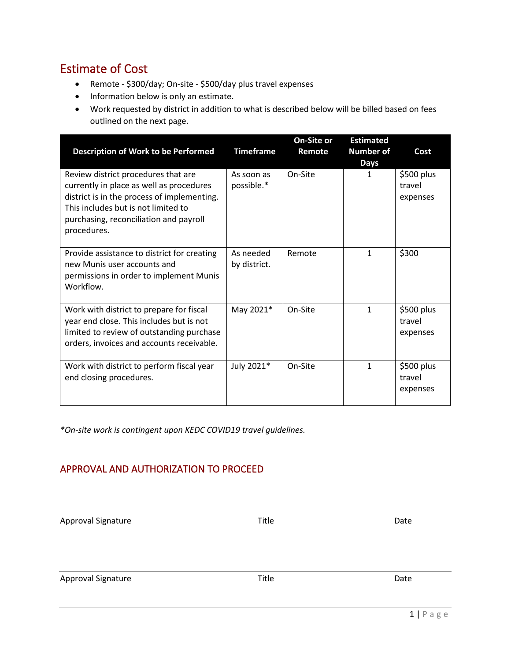#### Estimate of Cost

- Remote \$300/day; On-site \$500/day plus travel expenses
- Information below is only an estimate.
- Work requested by district in addition to what is described below will be billed based on fees outlined on the next page.

| <b>Description of Work to be Performed</b>                                                                                                                                                                                     | <b>Timeframe</b>          | On-Site or<br>Remote | <b>Estimated</b><br><b>Number of</b><br><b>Days</b> | Cost                             |
|--------------------------------------------------------------------------------------------------------------------------------------------------------------------------------------------------------------------------------|---------------------------|----------------------|-----------------------------------------------------|----------------------------------|
| Review district procedures that are<br>currently in place as well as procedures<br>district is in the process of implementing.<br>This includes but is not limited to<br>purchasing, reconciliation and payroll<br>procedures. | As soon as<br>possible.*  | On-Site              | 1                                                   | \$500 plus<br>travel<br>expenses |
| Provide assistance to district for creating<br>new Munis user accounts and<br>permissions in order to implement Munis<br>Workflow.                                                                                             | As needed<br>by district. | Remote               | 1                                                   | \$300                            |
| Work with district to prepare for fiscal<br>year end close. This includes but is not<br>limited to review of outstanding purchase<br>orders, invoices and accounts receivable.                                                 | May 2021*                 | On-Site              | 1                                                   | \$500 plus<br>travel<br>expenses |
| Work with district to perform fiscal year<br>end closing procedures.                                                                                                                                                           | July 2021*                | On-Site              | 1                                                   | \$500 plus<br>travel<br>expenses |

*\*On-site work is contingent upon KEDC COVID19 travel guidelines.*

#### APPROVAL AND AUTHORIZATION TO PROCEED

Approval Signature **National Signature Contract Contract Contract Contract Contract Contract Contract Contract Contract Contract Contract Contract Contract Contract Contract Contract Contract Contract Contract Contract Con** 

Approval Signature **National Signature Community** Contract Community Contract Community Contract Contract Community